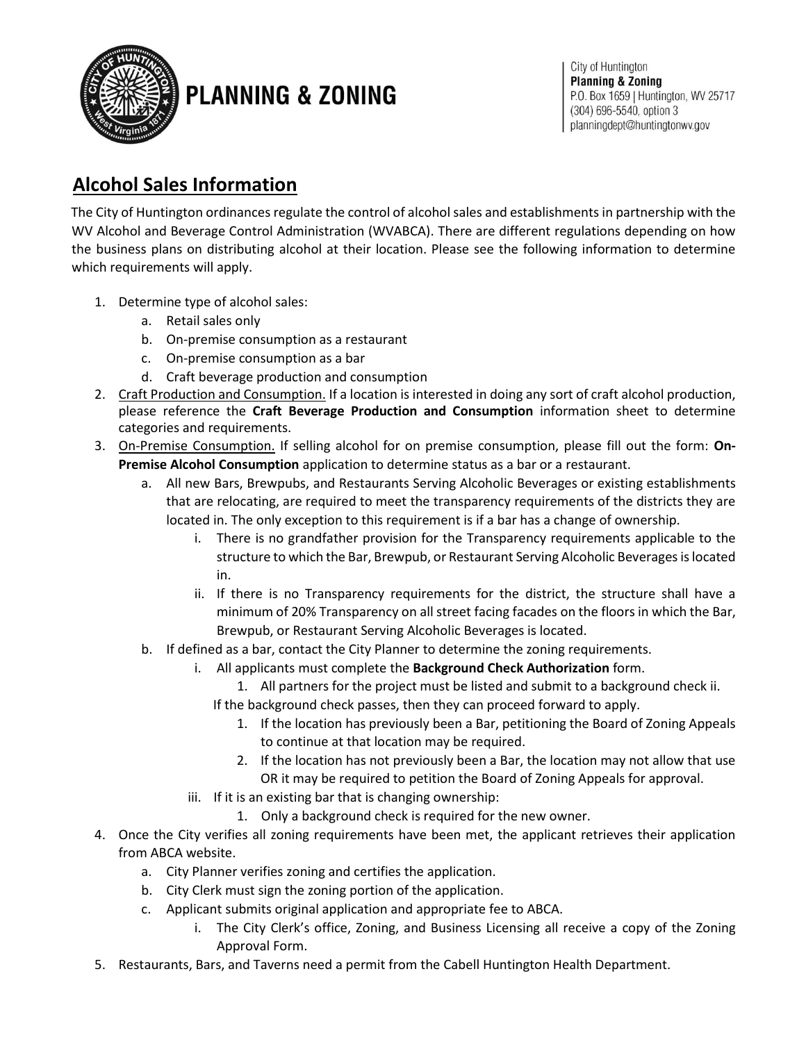

# **PLANNING & ZONING**

City of Huntington **Planning & Zoning** P.O. Box 1659 | Huntington, WV 25717 (304) 696-5540, option 3 planningdept@huntingtonwv.gov

## **Alcohol Sales Information**

The City of Huntington ordinances regulate the control of alcohol sales and establishments in partnership with the WV Alcohol and Beverage Control Administration (WVABCA). There are different regulations depending on how the business plans on distributing alcohol at their location. Please see the following information to determine which requirements will apply.

- 1. Determine type of alcohol sales:
	- a. Retail sales only
	- b. On-premise consumption as a restaurant
	- c. On-premise consumption as a bar
	- d. Craft beverage production and consumption
- 2. Craft Production and Consumption. If a location is interested in doing any sort of craft alcohol production, please reference the **Craft Beverage Production and Consumption** information sheet to determine categories and requirements.
- 3. On-Premise Consumption. If selling alcohol for on premise consumption, please fill out the form: **On-Premise Alcohol Consumption** application to determine status as a bar or a restaurant.
	- a. All new Bars, Brewpubs, and Restaurants Serving Alcoholic Beverages or existing establishments that are relocating, are required to meet the transparency requirements of the districts they are located in. The only exception to this requirement is if a bar has a change of ownership.
		- i. There is no grandfather provision for the Transparency requirements applicable to the structure to which the Bar, Brewpub, or Restaurant Serving Alcoholic Beverages is located in.
		- ii. If there is no Transparency requirements for the district, the structure shall have a minimum of 20% Transparency on all street facing facades on the floors in which the Bar, Brewpub, or Restaurant Serving Alcoholic Beverages is located.
	- b. If defined as a bar, contact the City Planner to determine the zoning requirements.
		- i. All applicants must complete the **Background Check Authorization** form.
			- 1. All partners for the project must be listed and submit to a background check ii.
			- If the background check passes, then they can proceed forward to apply.
				- 1. If the location has previously been a Bar, petitioning the Board of Zoning Appeals to continue at that location may be required.
				- 2. If the location has not previously been a Bar, the location may not allow that use OR it may be required to petition the Board of Zoning Appeals for approval.
		- iii. If it is an existing bar that is changing ownership:
			- 1. Only a background check is required for the new owner.
- 4. Once the City verifies all zoning requirements have been met, the applicant retrieves their application from ABCA website.
	- a. City Planner verifies zoning and certifies the application.
	- b. City Clerk must sign the zoning portion of the application.
	- c. Applicant submits original application and appropriate fee to ABCA.
		- i. The City Clerk's office, Zoning, and Business Licensing all receive a copy of the Zoning Approval Form.
- 5. Restaurants, Bars, and Taverns need a permit from the Cabell Huntington Health Department.